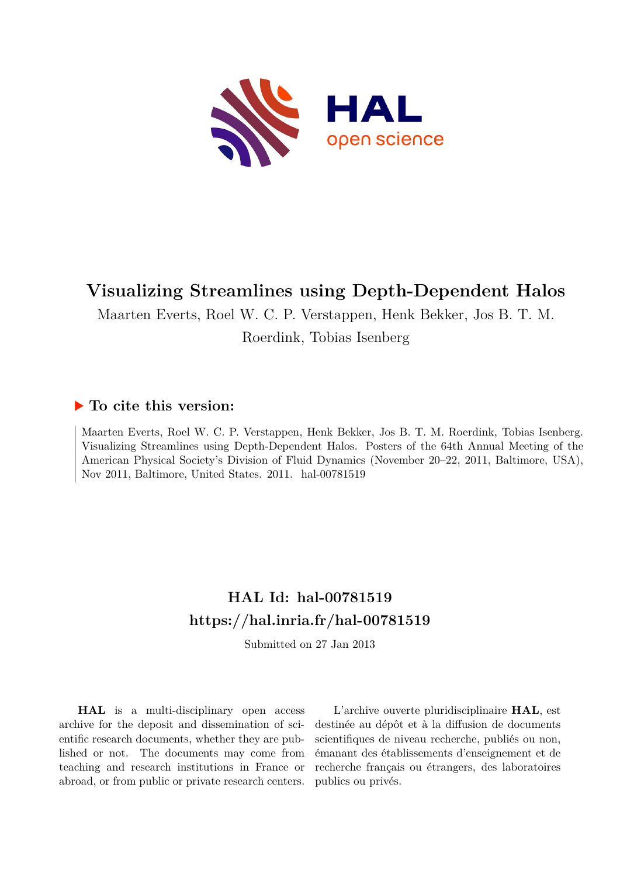

## **Visualizing Streamlines using Depth-Dependent Halos**

Maarten Everts, Roel W. C. P. Verstappen, Henk Bekker, Jos B. T. M.

Roerdink, Tobias Isenberg

## **To cite this version:**

Maarten Everts, Roel W. C. P. Verstappen, Henk Bekker, Jos B. T. M. Roerdink, Tobias Isenberg. Visualizing Streamlines using Depth-Dependent Halos. Posters of the 64th Annual Meeting of the American Physical Society's Division of Fluid Dynamics (November 20–22, 2011, Baltimore, USA), Nov 2011, Baltimore, United States. 2011. hal-00781519

## **HAL Id: hal-00781519 <https://hal.inria.fr/hal-00781519>**

Submitted on 27 Jan 2013

**HAL** is a multi-disciplinary open access archive for the deposit and dissemination of scientific research documents, whether they are published or not. The documents may come from teaching and research institutions in France or abroad, or from public or private research centers.

L'archive ouverte pluridisciplinaire **HAL**, est destinée au dépôt et à la diffusion de documents scientifiques de niveau recherche, publiés ou non, émanant des établissements d'enseignement et de recherche français ou étrangers, des laboratoires publics ou privés.